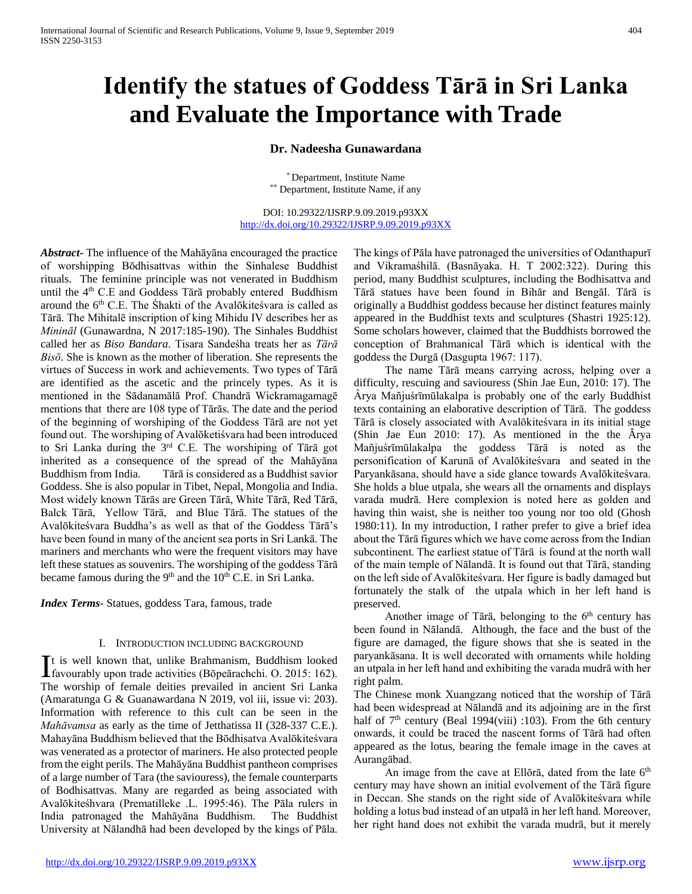# **Identify the statues of Goddess Tārā in Sri Lanka and Evaluate the Importance with Trade**

#### **Dr. Nadeesha Gunawardana**

\* Department, Institute Name \*\* Department, Institute Name, if any

DOI: 10.29322/IJSRP.9.09.2019.p93XX <http://dx.doi.org/10.29322/IJSRP.9.09.2019.p93XX>

*Abstract***-** The influence of the Mahāyāna encouraged the practice of worshipping Bōdhisattvas within the Sinhalese Buddhist rituals. The feminine principle was not venerated in Buddhism until the 4<sup>th</sup> C.E and Goddess Tārā probably entered Buddhism around the 6<sup>th</sup> C.E. The Shakti of the Avalōkiteśvara is called as Tārā. The Mihitalē inscription of king Mihidu IV describes her as *Minināl* (Gunawardna, N 2017:185-190). The Sinhales Buddhist called her as *Biso Bandara*. Tisara Sandeśha treats her as *Tārā Bisō*. She is known as the mother of liberation. She represents the virtues of Success in work and achievements. Two types of Tārā are identified as the ascetic and the princely types. As it is mentioned in the Sādanamālā Prof. Chandrā Wickramagamagē mentions that there are 108 type of Tārās. The date and the period of the beginning of worshiping of the Goddess Tārā are not yet found out. The worshiping of Avalōketiśvara had been introduced to Sri Lanka during the 3rd C.E. The worshiping of Tārā got inherited as a consequence of the spread of the Mahāyāna Buddhism from India. Tārā is considered as a Buddhist savior Goddess. She is also popular in Tibet, Nepal, Mongolia and India. Most widely known Tārās are Green Tārā, White Tārā, Red Tārā, Balck Tārā, Yellow Tārā, and Blue Tārā. The statues of the Avalōkiteśvara Buddha's as well as that of the Goddess Tārā's have been found in many of the ancient sea ports in Sri Lankā. The mariners and merchants who were the frequent visitors may have left these statues as souvenirs. The worshiping of the goddess Tārā became famous during the  $9<sup>th</sup>$  and the  $10<sup>th</sup>$  C.E. in Sri Lanka.

*Index Terms*- Statues, goddess Tara, famous, trade

#### I. INTRODUCTION INCLUDING BACKGROUND

t is well known that, unlike Brahmanism, Buddhism looked It is well known that, unlike Brahmanism, Buddhism looked favourably upon trade activities (Bōpeārachchi. O. 2015: 162). The worship of female deities prevailed in ancient Sri Lanka (Amaratunga G & Guanawardana N 2019, vol iii, issue vi: 203). Information with reference to this cult can be seen in the *Mahāvamsa* as early as the time of Jetthatissa II (328-337 C.E.). Mahayāna Buddhism believed that the Bōdhisatva Avalōkiteśvara was venerated as a protector of mariners. He also protected people from the eight perils. The Mahāyāna Buddhist pantheon comprises of a large number of Tara (the saviouress), the female counterparts of Bodhisattvas. Many are regarded as being associated with Avalōkiteśhvara (Prematilleke .L. 1995:46). The Pāla rulers in India patronaged the Mahāyāna Buddhism. The Buddhist University at Nālandhā had been developed by the kings of Pāla.

The kings of Pāla have patronaged the universities of Odanthapurī and Vikramaśhilā. (Basnāyaka. H. T 2002:322). During this period, many Buddhist sculptures, including the Bodhisattva and Tārā statues have been found in Bihār and Bengāl. Tārā is originally a Buddhist goddess because her distinct features mainly appeared in the Buddhist texts and sculptures (Shastri 1925:12). Some scholars however, claimed that the Buddhists borrowed the conception of Brahmanical Tārā which is identical with the goddess the Durgā (Dasgupta 1967: 117).

 The name Tārā means carrying across, helping over a difficulty, rescuing and saviouress (Shin Jae Eun, 2010: 17). The Ârya Mañjuśrīmūlakalpa is probably one of the early Buddhist texts containing an elaborative description of Tārā. The goddess Tārā is closely associated with Avalōkiteśvara in its initial stage (Shin Jae Eun 2010: 17). As mentioned in the the Ârya Mañjuśrīmūlakalpa the goddess Tārā is noted as the personification of Karunā of Avalōkiteśvara and seated in the Paryankāsana, should have a side glance towards Avalōkiteśvara. She holds a blue utpala, she wears all the ornaments and displays varada mudrā. Here complexion is noted here as golden and having thin waist, she is neither too young nor too old (Ghosh 1980:11). In my introduction, I rather prefer to give a brief idea about the Tārā figures which we have come across from the Indian subcontinent. The earliest statue of Tārā is found at the north wall of the main temple of Nālandā. It is found out that Tārā, standing on the left side of Avalōkiteśvara. Her figure is badly damaged but fortunately the stalk of the utpala which in her left hand is preserved.

Another image of Tārā, belonging to the  $6<sup>th</sup>$  century has been found in Nālandā. Although, the face and the bust of the figure are damaged, the figure shows that she is seated in the paryankāsana. It is well decorated with ornaments while holding an utpala in her left hand and exhibiting the varada mudrā with her right palm.

The Chinese monk Xuangzang noticed that the worship of Tārā had been widespread at Nālandā and its adjoining are in the first half of  $7<sup>th</sup>$  century (Beal 1994(viii) :103). From the 6th century onwards, it could be traced the nascent forms of Tārā had often appeared as the lotus, bearing the female image in the caves at Aurangābad.

An image from the cave at Ellōrā, dated from the late  $6<sup>th</sup>$ century may have shown an initial evolvement of the Tārā figure in Deccan. She stands on the right side of Avalōkiteśvara while holding a lotus bud instead of an utpalā in her left hand. Moreover, her right hand does not exhibit the varada mudrā, but it merely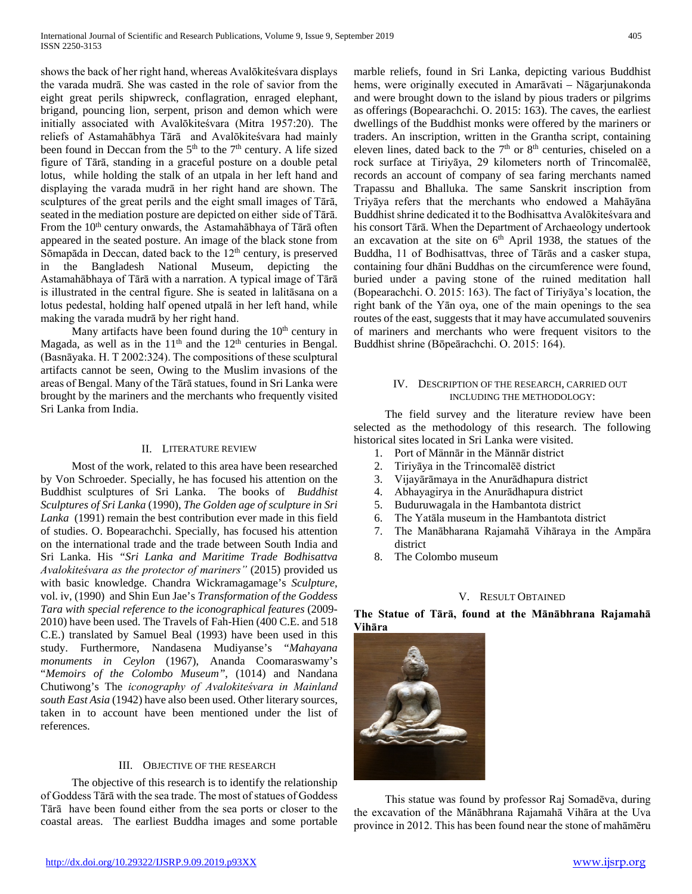shows the back of her right hand, whereas Avalōkiteśvara displays the varada mudrā. She was casted in the role of savior from the eight great perils shipwreck, conflagration, enraged elephant, brigand, pouncing lion, serpent, prison and demon which were initially associated with Avalōkiteśvara (Mitra 1957:20). The reliefs of Astamahābhya Tārā and Avalōkiteśvara had mainly been found in Deccan from the  $5<sup>th</sup>$  to the  $7<sup>th</sup>$  century. A life sized figure of Tārā, standing in a graceful posture on a double petal lotus, while holding the stalk of an utpala in her left hand and displaying the varada mudrā in her right hand are shown. The sculptures of the great perils and the eight small images of Tārā, seated in the mediation posture are depicted on either side of Tārā. From the 10<sup>th</sup> century onwards, the Astamahābhaya of Tārā often appeared in the seated posture. An image of the black stone from Sōmapāda in Deccan, dated back to the  $12<sup>th</sup>$  century, is preserved in the Bangladesh National Museum, depicting the Astamahābhaya of Tārā with a narration. A typical image of Tārā is illustrated in the central figure. She is seated in lalitāsana on a lotus pedestal, holding half opened utpalā in her left hand, while making the varada mudrā by her right hand.

Many artifacts have been found during the  $10<sup>th</sup>$  century in Magada, as well as in the  $11<sup>th</sup>$  and the  $12<sup>th</sup>$  centuries in Bengal. (Basnāyaka. H. T 2002:324). The compositions of these sculptural artifacts cannot be seen, Owing to the Muslim invasions of the areas of Bengal. Many of the Tārā statues, found in Sri Lanka were brought by the mariners and the merchants who frequently visited Sri Lanka from India.

#### II. LITERATURE REVIEW

 Most of the work, related to this area have been researched by Von Schroeder. Specially, he has focused his attention on the Buddhist sculptures of Sri Lanka. The books of *Buddhist Sculptures of Sri Lanka* (1990), *The Golden age of sculpture in Sri Lanka* (1991) remain the best contribution ever made in this field of studies. O. Bopearachchi. Specially, has focused his attention on the international trade and the trade between South India and Sri Lanka. His *"Sri Lanka and Maritime Trade Bodhisattva Avalokiteśvara as the protector of mariners"* (2015) provided us with basic knowledge. Chandra Wickramagamage's *Sculpture*, vol. iv, (1990) and Shin Eun Jae's *Transformation of the Goddess Tara with special reference to the iconographical features* (2009- 2010) have been used. The Travels of Fah-Hien (400 C.E. and 518 C.E.) translated by Samuel Beal (1993) have been used in this study. Furthermore, Nandasena Mudiyanse's "*Mahayana monuments in Ceylon* (1967), Ananda Coomaraswamy's "*Memoirs of the Colombo Museum"*, (1014) and Nandana Chutiwong's The *iconography of Avalokiteśvara in Mainland south East Asia* (1942) have also been used. Other literary sources, taken in to account have been mentioned under the list of references.

#### III. OBJECTIVE OF THE RESEARCH

 The objective of this research is to identify the relationship of Goddess Tārā with the sea trade. The most of statues of Goddess Tārā have been found either from the sea ports or closer to the coastal areas. The earliest Buddha images and some portable marble reliefs, found in Sri Lanka, depicting various Buddhist hems, were originally executed in Amarāvati – Nāgarjunakonda and were brought down to the island by pious traders or pilgrims as offerings (Bopearachchi. O. 2015: 163). The caves, the earliest dwellings of the Buddhist monks were offered by the mariners or traders. An inscription, written in the Grantha script, containing eleven lines, dated back to the 7<sup>th</sup> or 8<sup>th</sup> centuries, chiseled on a rock surface at Tiriyāya, 29 kilometers north of Trincomalēē, records an account of company of sea faring merchants named Trapassu and Bhalluka. The same Sanskrit inscription from Triyāya refers that the merchants who endowed a Mahāyāna Buddhist shrine dedicated it to the Bodhisattva Avalōkiteśvara and his consort Tārā. When the Department of Archaeology undertook an excavation at the site on  $6<sup>th</sup>$  April 1938, the statues of the Buddha, 11 of Bodhisattvas, three of Tārās and a casker stupa, containing four dhāni Buddhas on the circumference were found, buried under a paving stone of the ruined meditation hall (Bopearachchi. O. 2015: 163). The fact of Tiriyāya's location, the right bank of the Yān oya, one of the main openings to the sea routes of the east, suggests that it may have accumulated souvenirs of mariners and merchants who were frequent visitors to the Buddhist shrine (Bōpeārachchi. O. 2015: 164).

## IV. DESCRIPTION OF THE RESEARCH, CARRIED OUT INCLUDING THE METHODOLOGY:

 The field survey and the literature review have been selected as the methodology of this research. The following historical sites located in Sri Lanka were visited.

- 1. Port of Männār in the Männār district
- 2. Tiriyāya in the Trincomalēē district
- 3. Vijayārāmaya in the Anurādhapura district
- 4. Abhayagirya in the Anurādhapura district
- 5. Buduruwagala in the Hambantota district
- 6. The Yatāla museum in the Hambantota district
- 7. The Manābharana Rajamahā Vihāraya in the Ampāra district
- 8. The Colombo museum

#### V. RESULT OBTAINED

**The Statue of Tārā, found at the Mānābhrana Rajamahā Vihāra**



 This statue was found by professor Raj Somadēva, during the excavation of the Mānābhrana Rajamahā Vihāra at the Uva province in 2012. This has been found near the stone of mahāmēru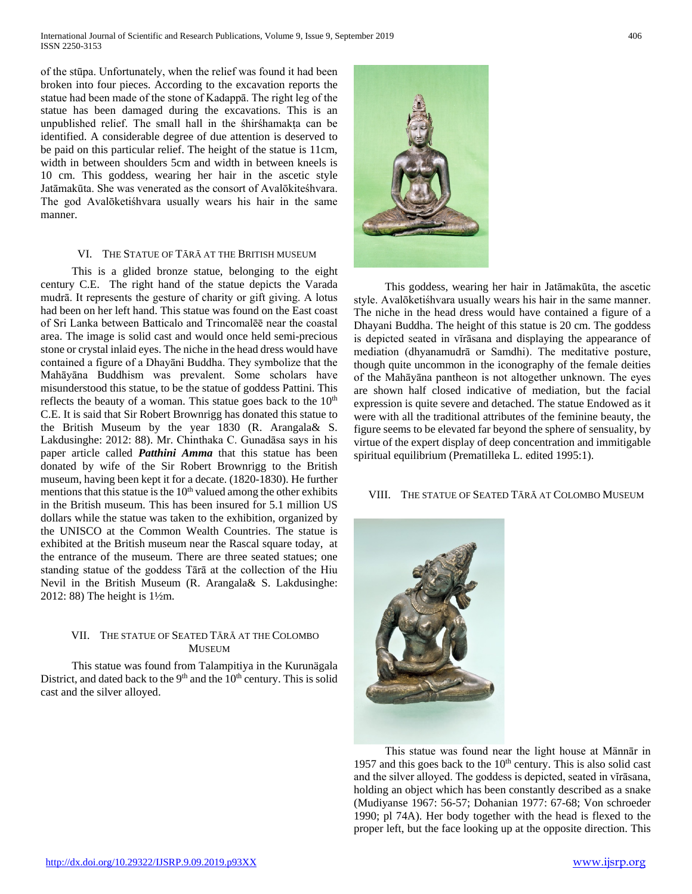of the stūpa. Unfortunately, when the relief was found it had been broken into four pieces. According to the excavation reports the statue had been made of the stone of Kadappā. The right leg of the statue has been damaged during the excavations. This is an unpublished relief. The small hall in the śhirśhamakṭa can be identified. A considerable degree of due attention is deserved to be paid on this particular relief. The height of the statue is 11cm, width in between shoulders 5cm and width in between kneels is 10 cm. This goddess, wearing her hair in the ascetic style Jatāmakūta. She was venerated as the consort of Avalōkiteśhvara. The god Avalōketiśhvara usually wears his hair in the same manner.

#### VI. THE STATUE OF TĀRĀ AT THE BRITISH MUSEUM

 This is a glided bronze statue, belonging to the eight century C.E. The right hand of the statue depicts the Varada mudrā. It represents the gesture of charity or gift giving. A lotus had been on her left hand. This statue was found on the East coast of Sri Lanka between Batticalo and Trincomalēē near the coastal area. The image is solid cast and would once held semi-precious stone or crystal inlaid eyes. The niche in the head dress would have contained a figure of a Dhayāni Buddha. They symbolize that the Mahāyāna Buddhism was prevalent. Some scholars have misunderstood this statue, to be the statue of goddess Pattini. This reflects the beauty of a woman. This statue goes back to the  $10<sup>th</sup>$ C.E. It is said that Sir Robert Brownrigg has donated this statue to the British Museum by the year 1830 (R. Arangala& S. Lakdusinghe: 2012: 88). Mr. Chinthaka C. Gunadāsa says in his paper article called *Patthini Amma* that this statue has been donated by wife of the Sir Robert Brownrigg to the British museum, having been kept it for a decate. (1820-1830). He further mentions that this statue is the  $10<sup>th</sup>$  valued among the other exhibits in the British museum. This has been insured for 5.1 million US dollars while the statue was taken to the exhibition, organized by the UNISCO at the Common Wealth Countries. The statue is exhibited at the British museum near the Rascal square today, at the entrance of the museum. There are three seated statues; one standing statue of the goddess Tārā at the collection of the Hiu Nevil in the British Museum (R. Arangala& S. Lakdusinghe: 2012: 88) The height is 1½m.

#### VII. THE STATUE OF SEATED TĀRĀ AT THE COLOMBO **MUSEUM**

 This statue was found from Talampitiya in the Kurunägala District, and dated back to the  $9<sup>th</sup>$  and the  $10<sup>th</sup>$  century. This is solid cast and the silver alloyed.



 This goddess, wearing her hair in Jatāmakūta, the ascetic style. Avalōketiśhvara usually wears his hair in the same manner. The niche in the head dress would have contained a figure of a Dhayani Buddha. The height of this statue is 20 cm. The goddess is depicted seated in vĭrāsana and displaying the appearance of mediation (dhyanamudrā or Samdhi). The meditative posture, though quite uncommon in the iconography of the female deities of the Mahāyāna pantheon is not altogether unknown. The eyes are shown half closed indicative of mediation, but the facial expression is quite severe and detached. The statue Endowed as it were with all the traditional attributes of the feminine beauty, the figure seems to be elevated far beyond the sphere of sensuality, by virtue of the expert display of deep concentration and immitigable spiritual equilibrium (Prematilleka L. edited 1995:1).

#### VIII. THE STATUE OF SEATED TĀRĀ AT COLOMBO MUSEUM



 This statue was found near the light house at Männār in 1957 and this goes back to the  $10<sup>th</sup>$  century. This is also solid cast and the silver alloyed. The goddess is depicted, seated in vĭrāsana, holding an object which has been constantly described as a snake (Mudiyanse 1967: 56-57; Dohanian 1977: 67-68; Von schroeder 1990; pl 74A). Her body together with the head is flexed to the proper left, but the face looking up at the opposite direction. This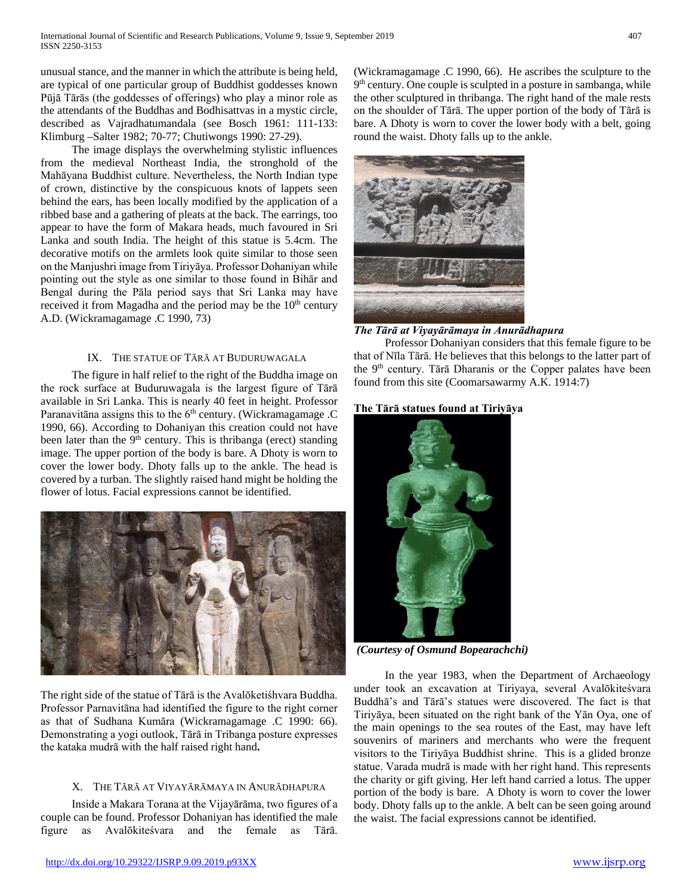unusual stance, and the manner in which the attribute is being held, are typical of one particular group of Buddhist goddesses known Pūjā Tārās (the goddesses of offerings) who play a minor role as the attendants of the Buddhas and Bodhisattvas in a mystic circle, described as Vajradhatumandala (see Bosch 1961: 111-133: Klimburg –Salter 1982; 70-77; Chutiwongs 1990: 27-29).

 The image displays the overwhelming stylistic influences from the medieval Northeast India, the stronghold of the Mahāyana Buddhist culture. Nevertheless, the North Indian type of crown, distinctive by the conspicuous knots of lappets seen behind the ears, has been locally modified by the application of a ribbed base and a gathering of pleats at the back. The earrings, too appear to have the form of Makara heads, much favoured in Sri Lanka and south India. The height of this statue is 5.4cm. The decorative motifs on the armlets look quite similar to those seen on the Manjushri image from Tiriyāya. Professor Dohaniyan while pointing out the style as one similar to those found in Bihār and Bengal during the Pāla period says that Sri Lanka may have received it from Magadha and the period may be the 10<sup>th</sup> century A.D. (Wickramagamage .C 1990, 73)

#### IX. THE STATUE OF TĀRĀ AT BUDURUWAGALA

 The figure in half relief to the right of the Buddha image on the rock surface at Buduruwagala is the largest figure of Tārā available in Sri Lanka. This is nearly 40 feet in height. Professor Paranavitāna assigns this to the  $6<sup>th</sup>$  century. (Wickramagamage .C 1990, 66). According to Dohaniyan this creation could not have been later than the  $9<sup>th</sup>$  century. This is thribanga (erect) standing image. The upper portion of the body is bare. A Dhoty is worn to cover the lower body. Dhoty falls up to the ankle. The head is covered by a turban. The slightly raised hand might be holding the flower of lotus. Facial expressions cannot be identified.



The right side of the statue of Tārā is the Avalōketiśhvara Buddha. Professor Parnavitāna had identified the figure to the right corner as that of Sudhana Kumāra (Wickramagamage .C 1990: 66). Demonstrating a yogi outlook, Tārā in Tribanga posture expresses the kataka mudrā with the half raised right hand**.**

#### X. THE TĀRĀ AT VIYAYĀRĀMAYA IN ANURĀDHAPURA

 Inside a Makara Torana at the Vijayārāma, two figures of a couple can be found. Professor Dohaniyan has identified the male figure as Avalōkiteśvara and the female as Tārā.

(Wickramagamage .C 1990, 66). He ascribes the sculpture to the 9<sup>th</sup> century. One couple is sculpted in a posture in sambanga, while the other sculptured in thribanga. The right hand of the male rests on the shoulder of Tārā. The upper portion of the body of Tārā is bare. A Dhoty is worn to cover the lower body with a belt, going round the waist. Dhoty falls up to the ankle.



*The Tārā at Viyayārāmaya in Anurādhapura*

 Professor Dohaniyan considers that this female figure to be that of Nīla Tārā. He believes that this belongs to the latter part of the 9<sup>th</sup> century. Tārā Dharanis or the Copper palates have been found from this site (Coomarsawarmy A.K. 1914:7)

## **The Tārā statues found at Tiriyāya**



*(Courtesy of Osmund Bopearachchi)*

 In the year 1983, when the Department of Archaeology under took an excavation at Tiriyaya, several Avalōkiteśvara Buddhā's and Tārā's statues were discovered. The fact is that Tiriyāya, been situated on the right bank of the Yān Oya, one of the main openings to the sea routes of the East, may have left souvenirs of mariners and merchants who were the frequent visitors to the Tiriyāya Buddhist shrine. This is a glided bronze statue. Varada mudrā is made with her right hand. This represents the charity or gift giving. Her left hand carried a lotus. The upper portion of the body is bare. A Dhoty is worn to cover the lower body. Dhoty falls up to the ankle. A belt can be seen going around the waist. The facial expressions cannot be identified.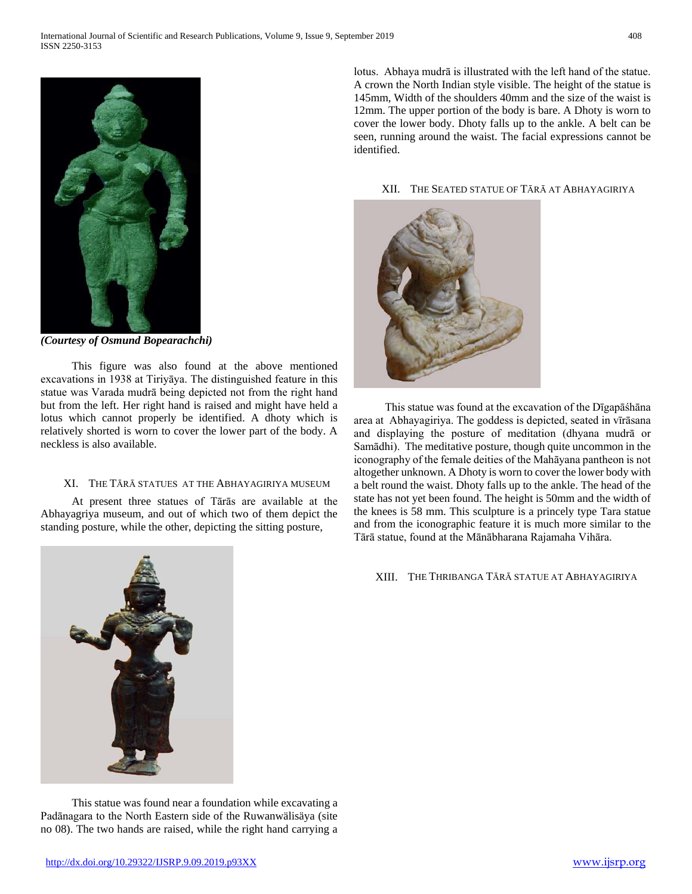

*(Courtesy of Osmund Bopearachchi)*

 This figure was also found at the above mentioned excavations in 1938 at Tiriyāya. The distinguished feature in this statue was Varada mudrā being depicted not from the right hand but from the left. Her right hand is raised and might have held a lotus which cannot properly be identified. A dhoty which is relatively shorted is worn to cover the lower part of the body. A neckless is also available.

#### XI. THE TĀRĀ STATUES AT THE ABHAYAGIRIYA MUSEUM

 At present three statues of Tārās are available at the Abhayagriya museum, and out of which two of them depict the standing posture, while the other, depicting the sitting posture,

lotus. Abhaya mudrā is illustrated with the left hand of the statue. A crown the North Indian style visible. The height of the statue is 145mm, Width of the shoulders 40mm and the size of the waist is 12mm. The upper portion of the body is bare. A Dhoty is worn to cover the lower body. Dhoty falls up to the ankle. A belt can be seen, running around the waist. The facial expressions cannot be identified.

#### XII. THE SEATED STATUE OF TĀRĀ AT ABHAYAGIRIYA



 This statue was found at the excavation of the Dīgapāśhāna area at Abhayagiriya. The goddess is depicted, seated in vīrāsana and displaying the posture of meditation (dhyana mudrā or Samādhi). The meditative posture, though quite uncommon in the iconography of the female deities of the Mahāyana pantheon is not altogether unknown. A Dhoty is worn to cover the lower body with a belt round the waist. Dhoty falls up to the ankle. The head of the state has not yet been found. The height is 50mm and the width of the knees is 58 mm. This sculpture is a princely type Tara statue and from the iconographic feature it is much more similar to the Tārā statue, found at the Mānābharana Rajamaha Vihāra.

XIII. THE THRIBANGA TĀRĀ STATUE AT ABHAYAGIRIYA



 This statue was found near a foundation while excavating a Padānagara to the North Eastern side of the Ruwanwälisäya (site no 08). The two hands are raised, while the right hand carrying a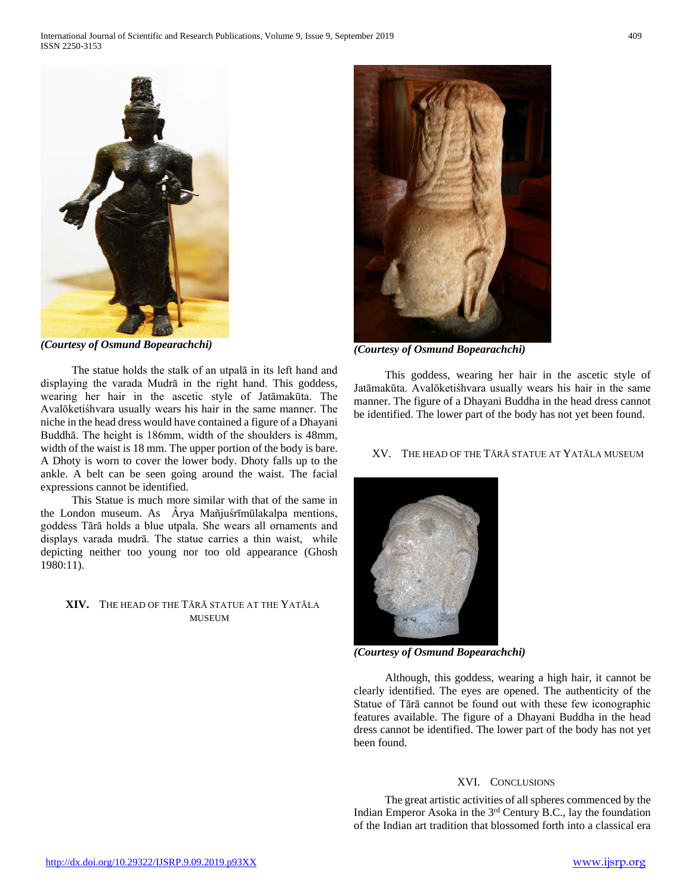

*(Courtesy of Osmund Bopearachchi)*

 The statue holds the stalk of an utpalā in its left hand and displaying the varada Mudrā in the right hand. This goddess, wearing her hair in the ascetic style of Jatāmakūta. The Avalōketiśhvara usually wears his hair in the same manner. The niche in the head dress would have contained a figure of a Dhayani Buddhā. The height is 186mm, width of the shoulders is 48mm, width of the waist is 18 mm. The upper portion of the body is bare. A Dhoty is worn to cover the lower body. Dhoty falls up to the ankle. A belt can be seen going around the waist. The facial expressions cannot be identified.

 This Statue is much more similar with that of the same in the London museum. As Ârya Mañjuśrīmūlakalpa mentions, goddess Tārā holds a blue utpala. She wears all ornaments and displays varada mudrā. The statue carries a thin waist, while depicting neither too young nor too old appearance (Ghosh 1980:11).

# **XIV.** THE HEAD OF THE TĀRĀ STATUE AT THE YATĀLA MUSEUM



*(Courtesy of Osmund Bopearachchi)*

 This goddess, wearing her hair in the ascetic style of Jatāmakūta. Avalōketiśhvara usually wears his hair in the same manner. The figure of a Dhayani Buddha in the head dress cannot be identified. The lower part of the body has not yet been found.

# XV. THE HEAD OF THE TĀRĀ STATUE AT YATĀLA MUSEUM



*(Courtesy of Osmund Bopearachchi)*

 Although, this goddess, wearing a high hair, it cannot be clearly identified. The eyes are opened. The authenticity of the Statue of Tārā cannot be found out with these few iconographic features available. The figure of a Dhayani Buddha in the head dress cannot be identified. The lower part of the body has not yet been found.

#### XVI. CONCLUSIONS

 The great artistic activities of all spheres commenced by the Indian Emperor Asoka in the 3rd Century B.C., lay the foundation of the Indian art tradition that blossomed forth into a classical era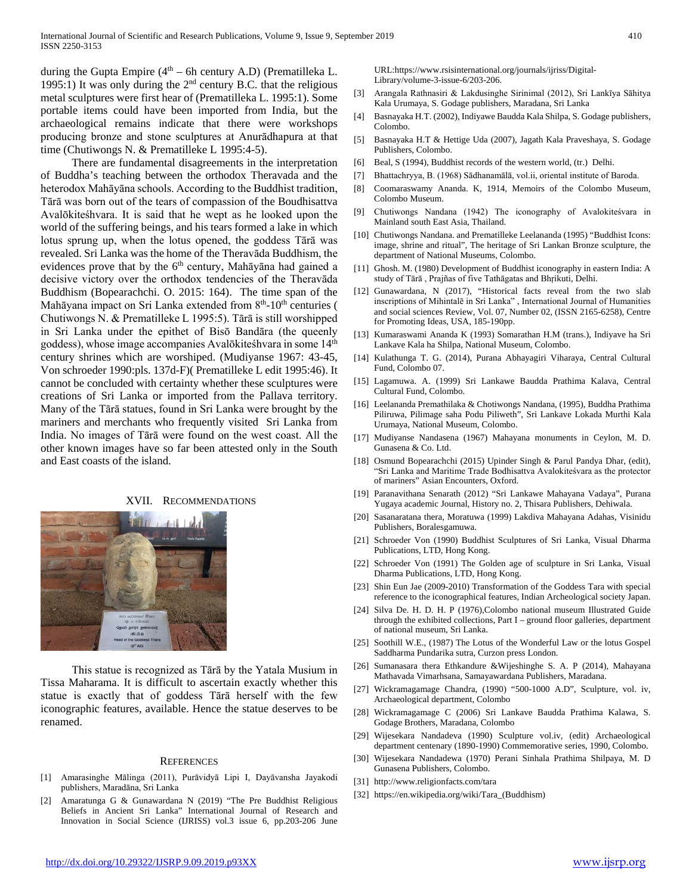during the Gupta Empire  $(4<sup>th</sup> - 6h$  century A.D) (Prematilleka L. 1995:1) It was only during the  $2<sup>nd</sup>$  century B.C. that the religious metal sculptures were first hear of (Prematilleka L. 1995:1). Some portable items could have been imported from India, but the archaeological remains indicate that there were workshops producing bronze and stone sculptures at Anurādhapura at that time (Chutiwongs N. & Prematilleke L 1995:4-5).

 There are fundamental disagreements in the interpretation of Buddha's teaching between the orthodox Theravada and the heterodox Mahāyāna schools. According to the Buddhist tradition, Tārā was born out of the tears of compassion of the Boudhisattva Avalōkiteśhvara. It is said that he wept as he looked upon the world of the suffering beings, and his tears formed a lake in which lotus sprung up, when the lotus opened, the goddess Tārā was revealed. Sri Lanka was the home of the Theravāda Buddhism, the evidences prove that by the 6<sup>th</sup> century, Mahāyāna had gained a decisive victory over the orthodox tendencies of the Theravāda Buddhism (Bopearachchi. O. 2015: 164). The time span of the Mahāyana impact on Sri Lanka extended from  $8<sup>th</sup>$ -10<sup>th</sup> centuries ( Chutiwongs N. & Prematilleke L 1995:5). Tārā is still worshipped in Sri Lanka under the epithet of Bisō Bandāra (the queenly goddess), whose image accompanies Avalōkiteśhvara in some 14<sup>th</sup> century shrines which are worshiped. (Mudiyanse 1967: 43-45, Von schroeder 1990:pls. 137d-F)( Prematilleke L edit 1995:46). It cannot be concluded with certainty whether these sculptures were creations of Sri Lanka or imported from the Pallava territory. Many of the Tārā statues, found in Sri Lanka were brought by the mariners and merchants who frequently visited Sri Lanka from India. No images of Tārā were found on the west coast. All the other known images have so far been attested only in the South and East coasts of the island.

XVII. RECOMMENDATIONS



 This statue is recognized as Tārā by the Yatala Musium in Tissa Maharama. It is difficult to ascertain exactly whether this statue is exactly that of goddess Tārā herself with the few iconographic features, available. Hence the statue deserves to be renamed.

#### **REFERENCES**

- [1] Amarasinghe Mālinga (2011), Purāvidyā Lipi I, Dayāvansha Jayakodi publishers, Maradāna, Sri Lanka
- [2] Amaratunga G & Gunawardana N (2019) "The Pre Buddhist Religious Beliefs in Ancient Sri Lanka" International Journal of Research and Innovation in Social Science (IJRISS) vol.3 issue 6, pp.203-206 June

URL:https://www.rsisinternational.org/journals/ijriss/Digital-Library/volume-3-issue-6/203-206.

- [3] Arangala Rathnasiri & Lakdusinghe Sirinimal (2012), Sri Lankīya Sāhitya Kala Urumaya, S. Godage publishers, Maradana, Sri Lanka
- [4] Basnayaka H.T. (2002), Indiyawe Baudda Kala Shilpa, S. Godage publishers, Colombo.
- [5] Basnayaka H.T & Hettige Uda (2007), Jagath Kala Praveshaya, S. Godage Publishers, Colombo.
- [6] Beal, S (1994), Buddhist records of the western world, (tr.) Delhi.
- [7] Bhattachryya, B. (1968) Sādhanamālā, vol.ii, oriental institute of Baroda.
- [8] Coomaraswamy Ananda. K, 1914, Memoirs of the Colombo Museum, Colombo Museum.
- [9] Chutiwongs Nandana (1942) The iconography of Avalokiteśvara in Mainland south East Asia, Thailand.
- [10] Chutiwongs Nandana. and Prematilleke Leelananda (1995) "Buddhist Icons: image, shrine and ritual", The heritage of Sri Lankan Bronze sculpture, the department of National Museums, Colombo.
- [11] Ghosh. M. (1980) Development of Buddhist iconography in eastern India: A study of Tārā , Prajñas of five Tathāgatas and Bhṛikuti, Delhi.
- [12] Gunawardana, N (2017), "Historical facts reveal from the two slab inscriptions of Mihintalē in Sri Lanka" , International Journal of Humanities and social sciences Review, Vol. 07, Number 02, (ISSN 2165-6258), Centre for Promoting Ideas, USA, 185-190pp.
- [13] Kumaraswami Ananda K (1993) Somarathan H.M (trans.), Indiyave ha Sri Lankave Kala ha Shilpa, National Museum, Colombo.
- [14] Kulathunga T. G. (2014), Purana Abhayagiri Viharaya, Central Cultural Fund, Colombo 07.
- [15] Lagamuwa. A. (1999) Sri Lankawe Baudda Prathima Kalava, Central Cultural Fund, Colombo.
- [16] Leelananda Premathilaka & Chotiwongs Nandana, (1995), Buddha Prathima Piliruwa, Pilimage saha Podu Piliweth", Sri Lankave Lokada Murthi Kala Urumaya, National Museum, Colombo.
- [17] Mudiyanse Nandasena (1967) Mahayana monuments in Ceylon, M. D. Gunasena & Co. Ltd.
- [18] Osmund Bopearachchi (2015) Upinder Singh & Parul Pandya Dhar, (edit), "Sri Lanka and Maritime Trade Bodhisattva Avalokiteśvara as the protector of mariners" Asian Encounters, Oxford.
- [19] Paranavithana Senarath (2012) "Sri Lankawe Mahayana Vadaya", Purana Yugaya academic Journal, History no. 2, Thisara Publishers, Dehiwala.
- [20] Sasanaratana thera, Moratuwa (1999) Lakdiva Mahayana Adahas, Visinidu Publishers, Boralesgamuwa.
- [21] Schroeder Von (1990) Buddhist Sculptures of Sri Lanka, Visual Dharma Publications, LTD, Hong Kong.
- [22] Schroeder Von (1991) The Golden age of sculpture in Sri Lanka, Visual Dharma Publications, LTD, Hong Kong.
- [23] Shin Eun Jae (2009-2010) Transformation of the Goddess Tara with special reference to the iconographical features, Indian Archeological society Japan.
- [24] Silva De. H. D. H. P (1976),Colombo national museum Illustrated Guide through the exhibited collections, Part I – ground floor galleries, department of national museum, Sri Lanka.
- [25] Soothill W.E., (1987) The Lotus of the Wonderful Law or the lotus Gospel Saddharma Pundarika sutra, Curzon press London.
- [26] Sumanasara thera Ethkandure &Wijeshinghe S. A. P (2014), Mahayana Mathavada Vimarhsana, Samayawardana Publishers, Maradana.
- [27] Wickramagamage Chandra, (1990) "500-1000 A.D", Sculpture, vol. iv, Archaeological department, Colombo
- [28] Wickramagamage C (2006) Sri Lankave Baudda Prathima Kalawa, S. Godage Brothers, Maradana, Colombo
- [29] Wijesekara Nandadeva (1990) Sculpture vol.iv, (edit) Archaeological department centenary (1890-1990) Commemorative series, 1990, Colombo.
- [30] Wijesekara Nandadewa (1970) Perani Sinhala Prathima Shilpaya, M. D Gunasena Publishers, Colombo.
- [31] http://www.religionfacts.com/tara
- [32] https://en.wikipedia.org/wiki/Tara\_(Buddhism)